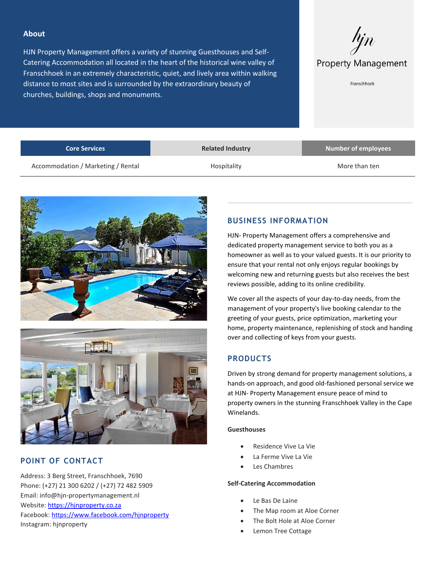#### **About**

HJN Property Management offers a variety of stunning Guesthouses and Self-Catering Accommodation all located in the heart of the historical wine valley of Franschhoek in an extremely characteristic, quiet, and lively area within walking distance to most sites and is surrounded by the extraordinary beauty of churches, buildings, shops and monuments.



Franschhoek

| Hospitality | More than ten |
|-------------|---------------|
|             |               |





# **POINT OF CONTACT**

Address: 3 Berg Street, Franschhoek, 7690 Phone: (+27) 21 300 6202 / (+27) 72 482 5909 Email: info@hjn-propertymanagement.nl Website[: https://hjnproperty.co.za](https://hjnproperty.co.za/) Facebook[: https://www.facebook.com/hjnproperty](https://www.facebook.com/hjnproperty) Instagram: hjnproperty

## **BUSINESS INFORMATION**

HJN- Property Management offers a comprehensive and dedicated property management service to both you as a homeowner as well as to your valued guests. It is our priority to ensure that your rental not only enjoys regular bookings by welcoming new and returning guests but also receives the best reviews possible, adding to its online credibility.

We cover all the aspects of your day-to-day needs, from the management of your property's live booking calendar to the greeting of your guests, price optimization, marketing your home, property maintenance, replenishing of stock and handing over and collecting of keys from your guests.

# **PRODUCTS**

Driven by strong demand for property management solutions, a hands-on approach, and good old-fashioned personal service we at HJN- Property Management ensure peace of mind to property owners in the stunning Franschhoek Valley in the Cape Winelands.

#### **Guesthouses**

- Residence Vive La Vie
- La Ferme Vive La Vie
- Les Chambres

#### **Self-Catering Accommodation**

- Le Bas De Laine
- The Map room at Aloe Corner
- The Bolt Hole at Aloe Corner
- Lemon Tree Cottage